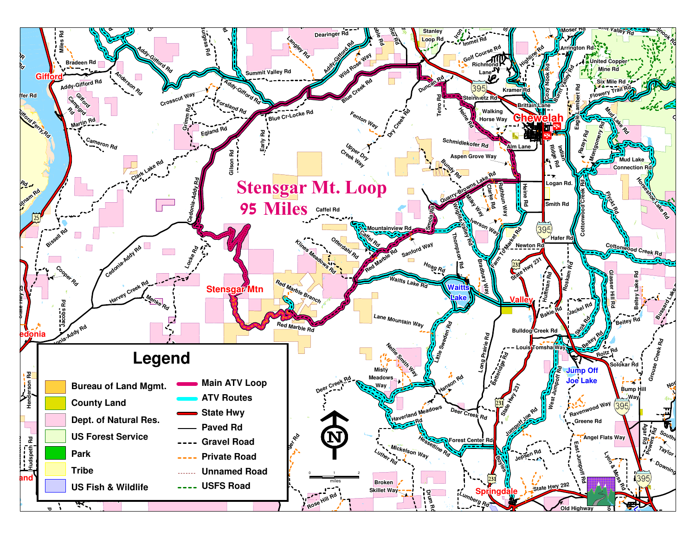